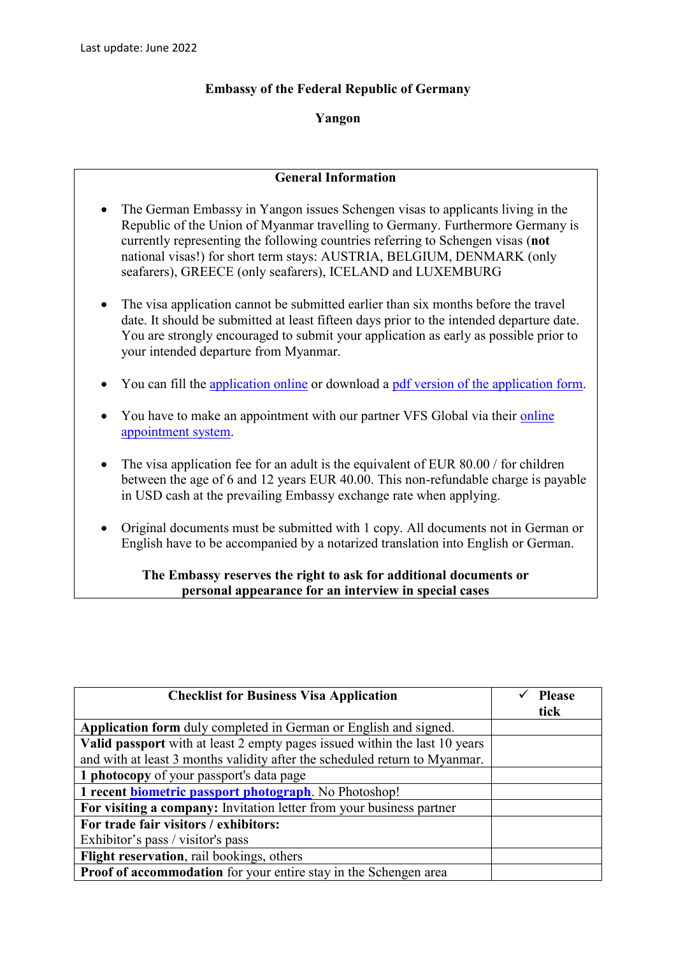## **Embassy of the Federal Republic of Germany**

## **Yangon**

## **General Information**

- The German Embassy in Yangon issues Schengen visas to applicants living in the Republic of the Union of Myanmar travelling to Germany. Furthermore Germany is currently representing the following countries referring to Schengen visas (**not** national visas!) for short term stays: AUSTRIA, BELGIUM, DENMARK (only seafarers), GREECE (only seafarers), ICELAND and LUXEMBURG
- The visa application cannot be submitted earlier than six months before the travel date. It should be submitted at least fifteen days prior to the intended departure date. You are strongly encouraged to submit your application as early as possible prior to your intended departure from Myanmar.
- You can fill the [application online](https://videx.diplo.de/videx/desktop/index.html#start) or download a [pdf version of the application form.](https://rangun.diplo.de/blob/2296922/0feb255c6e49752f82ab1e35bdda3656/antrag-schengenvisum-data.pdf)
- You have to make an appointment with our partner VFS Global via their online [appointment system.](https://www.vfsglobal.com/Germany/Myanmar/)
- The visa application fee for an adult is the equivalent of EUR 80.00 / for children between the age of 6 and 12 years EUR 40.00. This non-refundable charge is payable in USD cash at the prevailing Embassy exchange rate when applying.
- Original documents must be submitted with 1 copy. All documents not in German or English have to be accompanied by a notarized translation into English or German.

## **The Embassy reserves the right to ask for additional documents or personal appearance for an interview in special cases**

| <b>Checklist for Business Visa Application</b>                             | <b>Please</b><br>tick |
|----------------------------------------------------------------------------|-----------------------|
| Application form duly completed in German or English and signed.           |                       |
| Valid passport with at least 2 empty pages issued within the last 10 years |                       |
| and with at least 3 months validity after the scheduled return to Myanmar. |                       |
| 1 photocopy of your passport's data page                                   |                       |
| 1 recent biometric passport photograph. No Photoshop!                      |                       |
| For visiting a company: Invitation letter from your business partner       |                       |
| For trade fair visitors / exhibitors:                                      |                       |
| Exhibitor's pass / visitor's pass                                          |                       |
| Flight reservation, rail bookings, others                                  |                       |
| <b>Proof of accommodation</b> for your entire stay in the Schengen area    |                       |